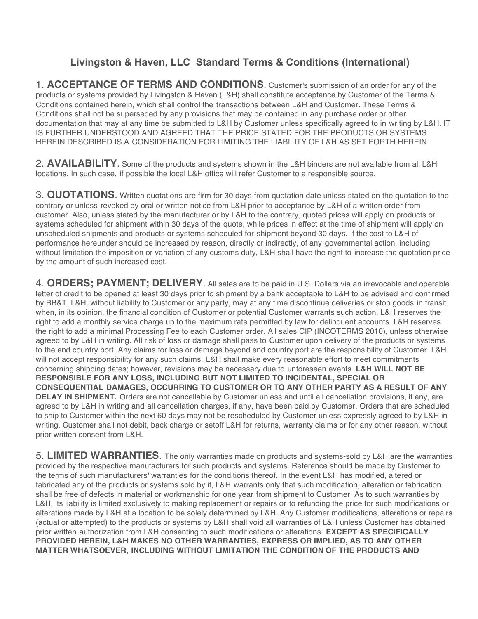## **Livingston & Haven, LLC Standard Terms & Conditions (International)**

1. **ACCEPTANCE OF TERMS AND CONDITIONS**. Customer's submission of an order for any of the products or systems provided by Livingston & Haven (L&H) shall constitute acceptance by Customer of the Terms & Conditions contained herein, which shall control the transactions between L&H and Customer. These Terms & Conditions shall not be superseded by any provisions that may be contained in any purchase order or other documentation that may at any time be submitted to L&H by Customer unless specifically agreed to in writing by L&H. IT IS FURTHER UNDERSTOOD AND AGREED THAT THE PRICE STATED FOR THE PRODUCTS OR SYSTEMS HEREIN DESCRIBED IS A CONSIDERATION FOR LIMITING THE LIABILITY OF L&H AS SET FORTH HEREIN.

2. **AVAILABILITY**. Some of the products and systems shown in the L&H binders are not available from all L&H locations. In such case, if possible the local L&H office will refer Customer to a responsible source.

3. **QUOTATIONS**. Written quotations are firm for 30 days from quotation date unless stated on the quotation to the contrary or unless revoked by oral or written notice from L&H prior to acceptance by L&H of a written order from customer. Also, unless stated by the manufacturer or by L&H to the contrary, quoted prices will apply on products or systems scheduled for shipment within 30 days of the quote, while prices in effect at the time of shipment will apply on unscheduled shipments and products or systems scheduled for shipment beyond 30 days. If the cost to L&H of performance hereunder should be increased by reason, directly or indirectly, of any governmental action, including without limitation the imposition or variation of any customs duty, L&H shall have the right to increase the quotation price by the amount of such increased cost.

4. **ORDERS; PAYMENT; DELIVERY**. All sales are to be paid in U.S. Dollars via an irrevocable and operable letter of credit to be opened at least 30 days prior to shipment by a bank acceptable to L&H to be advised and confirmed by BB&T. L&H, without liability to Customer or any party, may at any time discontinue deliveries or stop goods in transit when, in its opinion, the financial condition of Customer or potential Customer warrants such action. L&H reserves the right to add a monthly service charge up to the maximum rate permitted by law for delinquent accounts. L&H reserves the right to add a minimal Processing Fee to each Customer order. All sales CIP (INCOTERMS 2010), unless otherwise agreed to by L&H in writing. All risk of loss or damage shall pass to Customer upon delivery of the products or systems to the end country port. Any claims for loss or damage beyond end country port are the responsibility of Customer. L&H will not accept responsibility for any such claims. L&H shall make every reasonable effort to meet commitments concerning shipping dates; however, revisions may be necessary due to unforeseen events. **L&H WILL NOT BE RESPONSIBLE FOR ANY LOSS, INCLUDING BUT NOT LIMITED TO INCIDENTAL, SPECIAL OR CONSEQUENTIAL DAMAGES, OCCURRING TO CUSTOMER OR TO ANY OTHER PARTY AS A RESULT OF ANY DELAY IN SHIPMENT.** Orders are not cancellable by Customer unless and until all cancellation provisions, if any, are agreed to by L&H in writing and all cancellation charges, if any, have been paid by Customer. Orders that are scheduled to ship to Customer within the next 60 days may not be rescheduled by Customer unless expressly agreed to by L&H in writing. Customer shall not debit, back charge or setoff L&H for returns, warranty claims or for any other reason, without prior written consent from L&H.

5. **LIMITED WARRANTIES**. The only warranties made on products and systems-sold by L&H are the warranties provided by the respective manufacturers for such products and systems. Reference should be made by Customer to the terms of such manufacturers' warranties for the conditions thereof. In the event L&H has modified, altered or fabricated any of the products or systems sold by it, L&H warrants only that such modification, alteration or fabrication shall be free of defects in material or workmanship for one year from shipment to Customer. As to such warranties by L&H, its liability is limited exclusively to making replacement or repairs or to refunding the price for such modifications or alterations made by L&H at a location to be solely determined by L&H. Any Customer modifications, alterations or repairs (actual or attempted) to the products or systems by L&H shall void all warranties of L&H unless Customer has obtained prior written authorization from L&H consenting to such modifications or alterations. **EXCEPT AS SPECIFICALLY PROVIDED HEREIN, L&H MAKES NO OTHER WARRANTIES, EXPRESS OR IMPLIED, AS TO ANY OTHER MATTER WHATSOEVER, INCLUDING WITHOUT LIMITATION THE CONDITION OF THE PRODUCTS AND**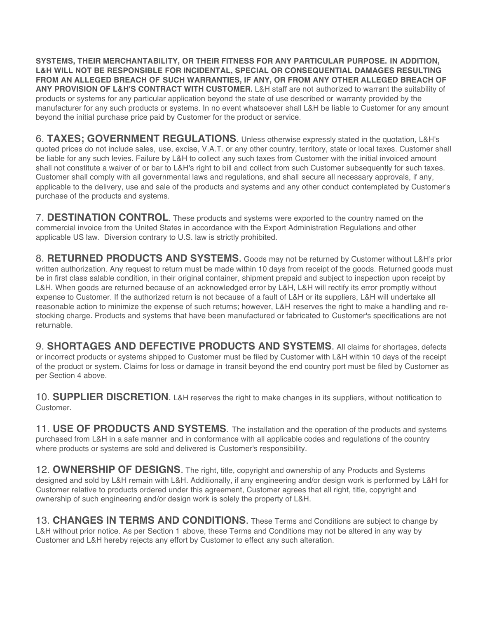**SYSTEMS, THEIR MERCHANTABILITY, OR THEIR FITNESS FOR ANY PARTICULAR PURPOSE. IN ADDITION, L&H WILL NOT BE RESPONSIBLE FOR INCIDENTAL, SPECIAL OR CONSEQUENTIAL DAMAGES RESULTING FROM AN ALLEGED BREACH OF SUCH WARRANTIES, IF ANY, OR FROM ANY OTHER ALLEGED BREACH OF ANY PROVISION OF L&H'S CONTRACT WITH CUSTOMER.** L&H staff are not authorized to warrant the suitability of products or systems for any particular application beyond the state of use described or warranty provided by the manufacturer for any such products or systems. In no event whatsoever shall L&H be liable to Customer for any amount beyond the initial purchase price paid by Customer for the product or service.

6. **TAXES; GOVERNMENT REGULATIONS**. Unless otherwise expressly stated in the quotation, L&H's quoted prices do not include sales, use, excise, V.A.T. or any other country, territory, state or local taxes. Customer shall be liable for any such levies. Failure by L&H to collect any such taxes from Customer with the initial invoiced amount shall not constitute a waiver of or bar to L&H's right to bill and collect from such Customer subsequently for such taxes. Customer shall comply with all governmental laws and regulations, and shall secure all necessary approvals, if any, applicable to the delivery, use and sale of the products and systems and any other conduct contemplated by Customer's purchase of the products and systems.

7. **DESTINATION CONTROL**. These products and systems were exported to the country named on the commercial invoice from the United States in accordance with the Export Administration Regulations and other applicable US law. Diversion contrary to U.S. law is strictly prohibited.

8. **RETURNED PRODUCTS AND SYSTEMS**. Goods may not be returned by Customer without L&H's prior written authorization. Any request to return must be made within 10 days from receipt of the goods. Returned goods must be in first class salable condition, in their original container, shipment prepaid and subject to inspection upon receipt by L&H. When goods are returned because of an acknowledged error by L&H, L&H will rectify its error promptly without expense to Customer. If the authorized return is not because of a fault of L&H or its suppliers, L&H will undertake all reasonable action to minimize the expense of such returns; however, L&H reserves the right to make a handling and restocking charge. Products and systems that have been manufactured or fabricated to Customer's specifications are not returnable.

9. **SHORTAGES AND DEFECTIVE PRODUCTS AND SYSTEMS**. All claims for shortages, defects or incorrect products or systems shipped to Customer must be filed by Customer with L&H within 10 days of the receipt of the product or system. Claims for loss or damage in transit beyond the end country port must be filed by Customer as per Section 4 above.

10. **SUPPLIER DISCRETION**. L&H reserves the right to make changes in its suppliers, without notification to Customer.

11. **USE OF PRODUCTS AND SYSTEMS**. The installation and the operation of the products and systems purchased from L&H in a safe manner and in conformance with all applicable codes and regulations of the country where products or systems are sold and delivered is Customer's responsibility.

12. **OWNERSHIP OF DESIGNS**. The right, title, copyright and ownership of any Products and Systems designed and sold by L&H remain with L&H. Additionally, if any engineering and/or design work is performed by L&H for Customer relative to products ordered under this agreement, Customer agrees that all right, title, copyright and ownership of such engineering and/or design work is solely the property of L&H.

13. **CHANGES IN TERMS AND CONDITIONS**. These Terms and Conditions are subject to change by L&H without prior notice. As per Section 1 above, these Terms and Conditions may not be altered in any way by Customer and L&H hereby rejects any effort by Customer to effect any such alteration.